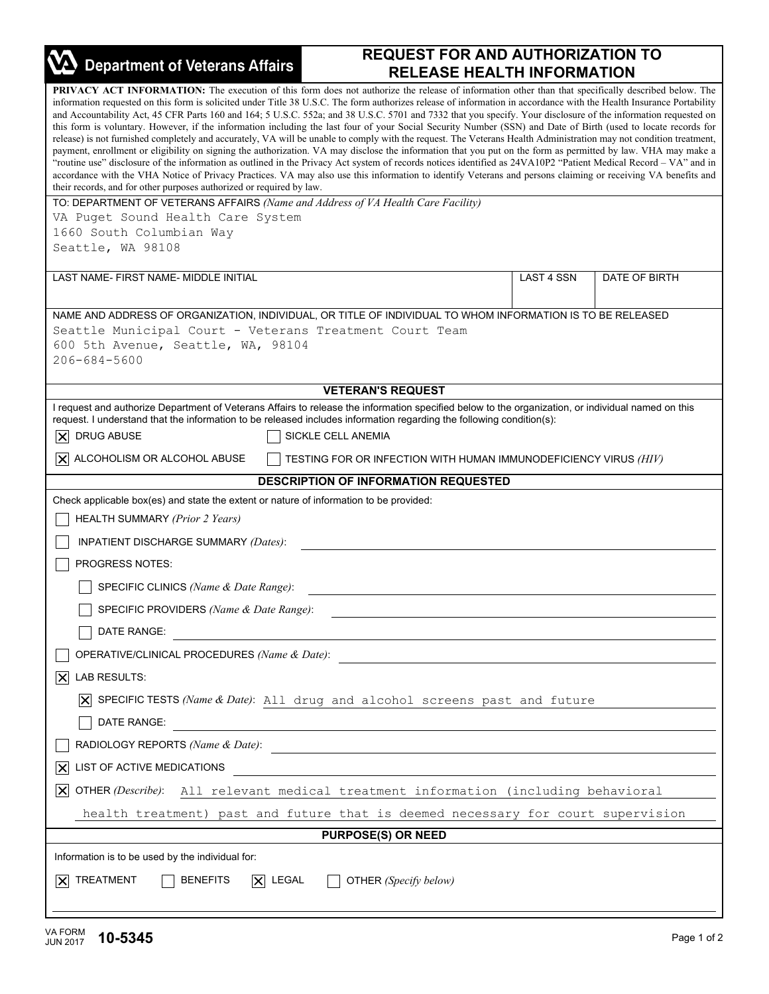| <b>Department of Veterans Affairs</b>                                                                                                                                                                                                                                                                                                                                                                                                                                                                                                                                                                                                                                                                                                                                                                                                                                                                                                                                                                                                                                                                                                                                                                                                                                                                                                                                                                                     | <b>REQUEST FOR AND AUTHORIZATION TO</b>                          |            |               |  |
|---------------------------------------------------------------------------------------------------------------------------------------------------------------------------------------------------------------------------------------------------------------------------------------------------------------------------------------------------------------------------------------------------------------------------------------------------------------------------------------------------------------------------------------------------------------------------------------------------------------------------------------------------------------------------------------------------------------------------------------------------------------------------------------------------------------------------------------------------------------------------------------------------------------------------------------------------------------------------------------------------------------------------------------------------------------------------------------------------------------------------------------------------------------------------------------------------------------------------------------------------------------------------------------------------------------------------------------------------------------------------------------------------------------------------|------------------------------------------------------------------|------------|---------------|--|
|                                                                                                                                                                                                                                                                                                                                                                                                                                                                                                                                                                                                                                                                                                                                                                                                                                                                                                                                                                                                                                                                                                                                                                                                                                                                                                                                                                                                                           | <b>RELEASE HEALTH INFORMATION</b>                                |            |               |  |
| <b>PRIVACY ACT INFORMATION:</b> The execution of this form does not authorize the release of information other than that specifically described below. The<br>information requested on this form is solicited under Title 38 U.S.C. The form authorizes release of information in accordance with the Health Insurance Portability<br>and Accountability Act, 45 CFR Parts 160 and 164; 5 U.S.C. 552a; and 38 U.S.C. 5701 and 7332 that you specify. Your disclosure of the information requested on<br>this form is voluntary. However, if the information including the last four of your Social Security Number (SSN) and Date of Birth (used to locate records for<br>release) is not furnished completely and accurately, VA will be unable to comply with the request. The Veterans Health Administration may not condition treatment,<br>payment, enrollment or eligibility on signing the authorization. VA may disclose the information that you put on the form as permitted by law. VHA may make a<br>"routine use" disclosure of the information as outlined in the Privacy Act system of records notices identified as 24VA10P2 "Patient Medical Record - VA" and in<br>accordance with the VHA Notice of Privacy Practices. VA may also use this information to identify Veterans and persons claiming or receiving VA benefits and<br>their records, and for other purposes authorized or required by law. |                                                                  |            |               |  |
| TO: DEPARTMENT OF VETERANS AFFAIRS (Name and Address of VA Health Care Facility)                                                                                                                                                                                                                                                                                                                                                                                                                                                                                                                                                                                                                                                                                                                                                                                                                                                                                                                                                                                                                                                                                                                                                                                                                                                                                                                                          |                                                                  |            |               |  |
| VA Puget Sound Health Care System<br>1660 South Columbian Way                                                                                                                                                                                                                                                                                                                                                                                                                                                                                                                                                                                                                                                                                                                                                                                                                                                                                                                                                                                                                                                                                                                                                                                                                                                                                                                                                             |                                                                  |            |               |  |
| Seattle, WA 98108                                                                                                                                                                                                                                                                                                                                                                                                                                                                                                                                                                                                                                                                                                                                                                                                                                                                                                                                                                                                                                                                                                                                                                                                                                                                                                                                                                                                         |                                                                  |            |               |  |
| LAST NAME- FIRST NAME- MIDDLE INITIAL                                                                                                                                                                                                                                                                                                                                                                                                                                                                                                                                                                                                                                                                                                                                                                                                                                                                                                                                                                                                                                                                                                                                                                                                                                                                                                                                                                                     |                                                                  | LAST 4 SSN | DATE OF BIRTH |  |
|                                                                                                                                                                                                                                                                                                                                                                                                                                                                                                                                                                                                                                                                                                                                                                                                                                                                                                                                                                                                                                                                                                                                                                                                                                                                                                                                                                                                                           |                                                                  |            |               |  |
| NAME AND ADDRESS OF ORGANIZATION, INDIVIDUAL, OR TITLE OF INDIVIDUAL TO WHOM INFORMATION IS TO BE RELEASED                                                                                                                                                                                                                                                                                                                                                                                                                                                                                                                                                                                                                                                                                                                                                                                                                                                                                                                                                                                                                                                                                                                                                                                                                                                                                                                |                                                                  |            |               |  |
| Seattle Municipal Court - Veterans Treatment Court Team<br>600 5th Avenue, Seattle, WA, 98104<br>206-684-5600                                                                                                                                                                                                                                                                                                                                                                                                                                                                                                                                                                                                                                                                                                                                                                                                                                                                                                                                                                                                                                                                                                                                                                                                                                                                                                             |                                                                  |            |               |  |
|                                                                                                                                                                                                                                                                                                                                                                                                                                                                                                                                                                                                                                                                                                                                                                                                                                                                                                                                                                                                                                                                                                                                                                                                                                                                                                                                                                                                                           | <b>VETERAN'S REQUEST</b>                                         |            |               |  |
| I request and authorize Department of Veterans Affairs to release the information specified below to the organization, or individual named on this<br>request. I understand that the information to be released includes information regarding the following condition(s):<br><b>DRUG ABUSE</b><br>$ \boldsymbol{\times} $<br>SICKLE CELL ANEMIA                                                                                                                                                                                                                                                                                                                                                                                                                                                                                                                                                                                                                                                                                                                                                                                                                                                                                                                                                                                                                                                                          |                                                                  |            |               |  |
| $ \mathsf{X} $ ALCOHOLISM OR ALCOHOL ABUSE                                                                                                                                                                                                                                                                                                                                                                                                                                                                                                                                                                                                                                                                                                                                                                                                                                                                                                                                                                                                                                                                                                                                                                                                                                                                                                                                                                                | TESTING FOR OR INFECTION WITH HUMAN IMMUNODEFICIENCY VIRUS (HIV) |            |               |  |
|                                                                                                                                                                                                                                                                                                                                                                                                                                                                                                                                                                                                                                                                                                                                                                                                                                                                                                                                                                                                                                                                                                                                                                                                                                                                                                                                                                                                                           | <b>DESCRIPTION OF INFORMATION REQUESTED</b>                      |            |               |  |
| Check applicable box(es) and state the extent or nature of information to be provided:                                                                                                                                                                                                                                                                                                                                                                                                                                                                                                                                                                                                                                                                                                                                                                                                                                                                                                                                                                                                                                                                                                                                                                                                                                                                                                                                    |                                                                  |            |               |  |
| <b>HEALTH SUMMARY (Prior 2 Years)</b>                                                                                                                                                                                                                                                                                                                                                                                                                                                                                                                                                                                                                                                                                                                                                                                                                                                                                                                                                                                                                                                                                                                                                                                                                                                                                                                                                                                     |                                                                  |            |               |  |
| INPATIENT DISCHARGE SUMMARY (Dates):                                                                                                                                                                                                                                                                                                                                                                                                                                                                                                                                                                                                                                                                                                                                                                                                                                                                                                                                                                                                                                                                                                                                                                                                                                                                                                                                                                                      |                                                                  |            |               |  |
| <b>PROGRESS NOTES:</b>                                                                                                                                                                                                                                                                                                                                                                                                                                                                                                                                                                                                                                                                                                                                                                                                                                                                                                                                                                                                                                                                                                                                                                                                                                                                                                                                                                                                    |                                                                  |            |               |  |
| SPECIFIC CLINICS (Name & Date Range):                                                                                                                                                                                                                                                                                                                                                                                                                                                                                                                                                                                                                                                                                                                                                                                                                                                                                                                                                                                                                                                                                                                                                                                                                                                                                                                                                                                     |                                                                  |            |               |  |
| SPECIFIC PROVIDERS (Name & Date Range):                                                                                                                                                                                                                                                                                                                                                                                                                                                                                                                                                                                                                                                                                                                                                                                                                                                                                                                                                                                                                                                                                                                                                                                                                                                                                                                                                                                   |                                                                  |            |               |  |
| DATE RANGE:<br><u> 1989 - John Stein, Amerikaansk politiker (</u>                                                                                                                                                                                                                                                                                                                                                                                                                                                                                                                                                                                                                                                                                                                                                                                                                                                                                                                                                                                                                                                                                                                                                                                                                                                                                                                                                         |                                                                  |            |               |  |
| OPERATIVE/CLINICAL PROCEDURES (Name & Date):                                                                                                                                                                                                                                                                                                                                                                                                                                                                                                                                                                                                                                                                                                                                                                                                                                                                                                                                                                                                                                                                                                                                                                                                                                                                                                                                                                              |                                                                  |            |               |  |
| LAB RESULTS:<br> X                                                                                                                                                                                                                                                                                                                                                                                                                                                                                                                                                                                                                                                                                                                                                                                                                                                                                                                                                                                                                                                                                                                                                                                                                                                                                                                                                                                                        |                                                                  |            |               |  |
| $\overline{X}$ SPECIFIC TESTS (Name & Date): All drug and alcohol screens past and future                                                                                                                                                                                                                                                                                                                                                                                                                                                                                                                                                                                                                                                                                                                                                                                                                                                                                                                                                                                                                                                                                                                                                                                                                                                                                                                                 |                                                                  |            |               |  |
| DATE RANGE:<br><u> 1989 - Johann Stein, marwolaethau a bhann an t-Amhair an t-Amhair an t-Amhair an t-Amhair an t-Amhair an t-A</u>                                                                                                                                                                                                                                                                                                                                                                                                                                                                                                                                                                                                                                                                                                                                                                                                                                                                                                                                                                                                                                                                                                                                                                                                                                                                                       |                                                                  |            |               |  |
| RADIOLOGY REPORTS (Name & Date):                                                                                                                                                                                                                                                                                                                                                                                                                                                                                                                                                                                                                                                                                                                                                                                                                                                                                                                                                                                                                                                                                                                                                                                                                                                                                                                                                                                          |                                                                  |            |               |  |
| LIST OF ACTIVE MEDICATIONS<br>$ \boldsymbol{\times} $<br><u> 1989 - John Stein, Amerikaansk politiker (</u>                                                                                                                                                                                                                                                                                                                                                                                                                                                                                                                                                                                                                                                                                                                                                                                                                                                                                                                                                                                                                                                                                                                                                                                                                                                                                                               |                                                                  |            |               |  |
| OTHER (Describe): All relevant medical treatment information (including behavioral<br>$ \mathsf{X} $                                                                                                                                                                                                                                                                                                                                                                                                                                                                                                                                                                                                                                                                                                                                                                                                                                                                                                                                                                                                                                                                                                                                                                                                                                                                                                                      |                                                                  |            |               |  |
| health treatment) past and future that is deemed necessary for court supervision                                                                                                                                                                                                                                                                                                                                                                                                                                                                                                                                                                                                                                                                                                                                                                                                                                                                                                                                                                                                                                                                                                                                                                                                                                                                                                                                          |                                                                  |            |               |  |
| <b>PURPOSE(S) OR NEED</b>                                                                                                                                                                                                                                                                                                                                                                                                                                                                                                                                                                                                                                                                                                                                                                                                                                                                                                                                                                                                                                                                                                                                                                                                                                                                                                                                                                                                 |                                                                  |            |               |  |
| Information is to be used by the individual for:                                                                                                                                                                                                                                                                                                                                                                                                                                                                                                                                                                                                                                                                                                                                                                                                                                                                                                                                                                                                                                                                                                                                                                                                                                                                                                                                                                          |                                                                  |            |               |  |
| $ \mathsf{X} $ TREATMENT<br><b>BENEFITS</b><br>$ \times $<br>LEGAL<br>OTHER (Specify below)                                                                                                                                                                                                                                                                                                                                                                                                                                                                                                                                                                                                                                                                                                                                                                                                                                                                                                                                                                                                                                                                                                                                                                                                                                                                                                                               |                                                                  |            |               |  |
|                                                                                                                                                                                                                                                                                                                                                                                                                                                                                                                                                                                                                                                                                                                                                                                                                                                                                                                                                                                                                                                                                                                                                                                                                                                                                                                                                                                                                           |                                                                  |            |               |  |

٦